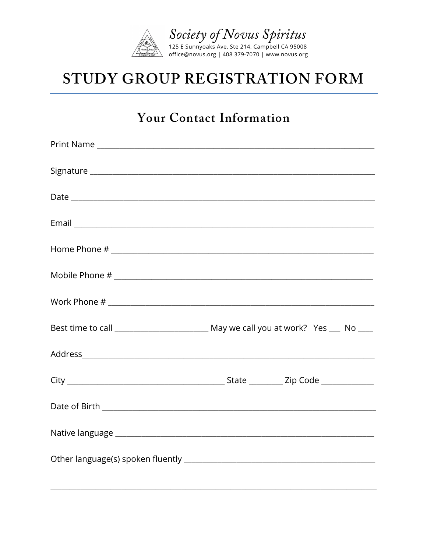

# STUDY GROUP REGISTRATION FORM

#### **Your Contact Information**

| $\textbf{ Mobile Phone \#} \textcolor{red}{\overbrace{\hspace{15em}}\hspace{15em} \textbf{ {1) }\hspace{1.5em} \textbf{ \textbf{ {1}}} } } } \textbf{ {1) }\hspace{10em} \textbf{ {1) }\hspace{10em} \textbf{ {1) }\hspace{1.5em} \textbf{ {2}}} } } \textbf{ {1) }\hspace{10em} \textbf{ {2) }\hspace{10em} \textbf{ {2}}} } } \textbf{ {1) }\hspace{10em} \textbf{ {2) }\hspace{10em} \textbf{ {2}}} } } \textbf{ {1) }\hspace{10em} \textbf{ {2) }\$ |  |  |
|---------------------------------------------------------------------------------------------------------------------------------------------------------------------------------------------------------------------------------------------------------------------------------------------------------------------------------------------------------------------------------------------------------------------------------------------------------|--|--|
|                                                                                                                                                                                                                                                                                                                                                                                                                                                         |  |  |
|                                                                                                                                                                                                                                                                                                                                                                                                                                                         |  |  |
|                                                                                                                                                                                                                                                                                                                                                                                                                                                         |  |  |
|                                                                                                                                                                                                                                                                                                                                                                                                                                                         |  |  |
|                                                                                                                                                                                                                                                                                                                                                                                                                                                         |  |  |
|                                                                                                                                                                                                                                                                                                                                                                                                                                                         |  |  |
|                                                                                                                                                                                                                                                                                                                                                                                                                                                         |  |  |
|                                                                                                                                                                                                                                                                                                                                                                                                                                                         |  |  |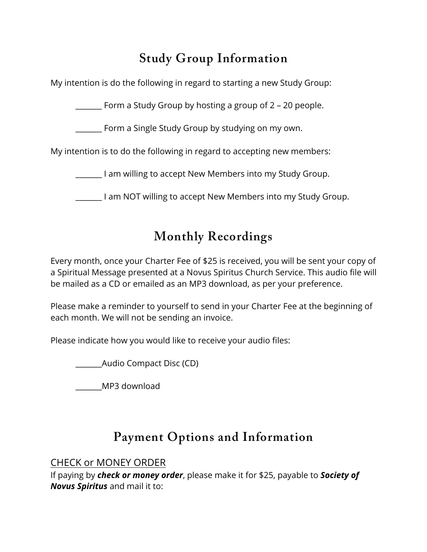### **Study Group Information**

My intention is do the following in regard to starting a new Study Group:

\_\_\_\_\_\_\_ Form a Study Group by hosting a group of 2 – 20 people.

**\_\_\_\_\_\_\_** Form a Single Study Group by studying on my own.

My intention is to do the following in regard to accepting new members:

\_\_\_\_\_\_\_ I am willing to accept New Members into my Study Group.

I am NOT willing to accept New Members into my Study Group.

### **Monthly Recordings**

Every month, once your Charter Fee of \$25 is received, you will be sent your copy of a Spiritual Message presented at a Novus Spiritus Church Service. This audio file will be mailed as a CD or emailed as an MP3 download, as per your preference.

Please make a reminder to yourself to send in your Charter Fee at the beginning of each month. We will not be sending an invoice.

Please indicate how you would like to receive your audio files:

\_\_\_\_\_\_\_Audio Compact Disc (CD)

\_\_\_\_\_\_\_MP3 download

## **Payment Options and Information**

#### CHECK or MONEY ORDER

If paying by *check or money order*, please make it for \$25, payable to *Society of Novus Spiritus* and mail it to: